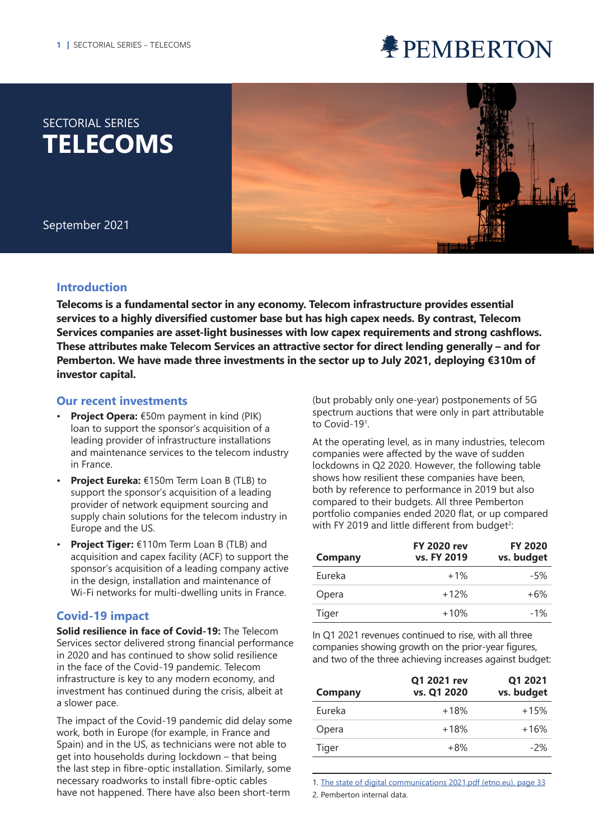# PEMBERTON

# **TELECOMS** SECTORIAL SERIES



September 2021

# **Introduction**

**Telecoms is a fundamental sector in any economy. Telecom infrastructure provides essential services to a highly diversified customer base but has high capex needs. By contrast, Telecom Services companies are asset-light businesses with low capex requirements and strong cashflows. These attributes make Telecom Services an attractive sector for direct lending generally – and for Pemberton. We have made three investments in the sector up to July 2021, deploying €310m of investor capital.**

#### **Our recent investments**

- **Proiect Opera:** €50m payment in kind (PIK) loan to support the sponsor's acquisition of a leading provider of infrastructure installations and maintenance services to the telecom industry in France.
- **Project Eureka:** €150m Term Loan B (TLB) to support the sponsor's acquisition of a leading provider of network equipment sourcing and supply chain solutions for the telecom industry in Europe and the US.
- **Project Tiger:** €110m Term Loan B (TLB) and acquisition and capex facility (ACF) to support the sponsor's acquisition of a leading company active in the design, installation and maintenance of Wi-Fi networks for multi-dwelling units in France.

# **Covid-19 impact**

**Solid resilience in face of Covid-19:** The Telecom Services sector delivered strong financial performance in 2020 and has continued to show solid resilience in the face of the Covid-19 pandemic. Telecom infrastructure is key to any modern economy, and investment has continued during the crisis, albeit at a slower pace.

The impact of the Covid-19 pandemic did delay some work, both in Europe (for example, in France and Spain) and in the US, as technicians were not able to get into households during lockdown – that being the last step in fibre-optic installation. Similarly, some necessary roadworks to install fibre-optic cables have not happened. There have also been short-term

(but probably only one-year) postponements of 5G spectrum auctions that were only in part attributable to Covid-191 .

At the operating level, as in many industries, telecom companies were affected by the wave of sudden lockdowns in Q2 2020. However, the following table shows how resilient these companies have been, both by reference to performance in 2019 but also compared to their budgets. All three Pemberton portfolio companies ended 2020 flat, or up compared with FY 2019 and little different from budget<sup>2</sup>:

| <b>Company</b> | <b>FY 2020 rev</b><br>vs. FY 2019 | <b>FY 2020</b><br>vs. budget |
|----------------|-----------------------------------|------------------------------|
| Eureka         | $+1\%$                            | $-5%$                        |
| Opera          | $+12%$                            | $+6%$                        |
| Tiger          | $+10%$                            | $-1\%$                       |

In Q1 2021 revenues continued to rise, with all three companies showing growth on the prior-year figures, and two of the three achieving increases against budget:

| <b>Company</b> | Q1 2021 rev<br>vs. Q1 2020 | Q1 2021<br>vs. budget |
|----------------|----------------------------|-----------------------|
| Eureka         | $+18%$                     | $+15%$                |
| Opera          | $+18%$                     | $+16%$                |
| Tiger          | $+8%$                      | $-2%$                 |

<sup>1.</sup> The state of digital communications 2021.pdf (etno.eu), page 33

2. Pemberton internal data.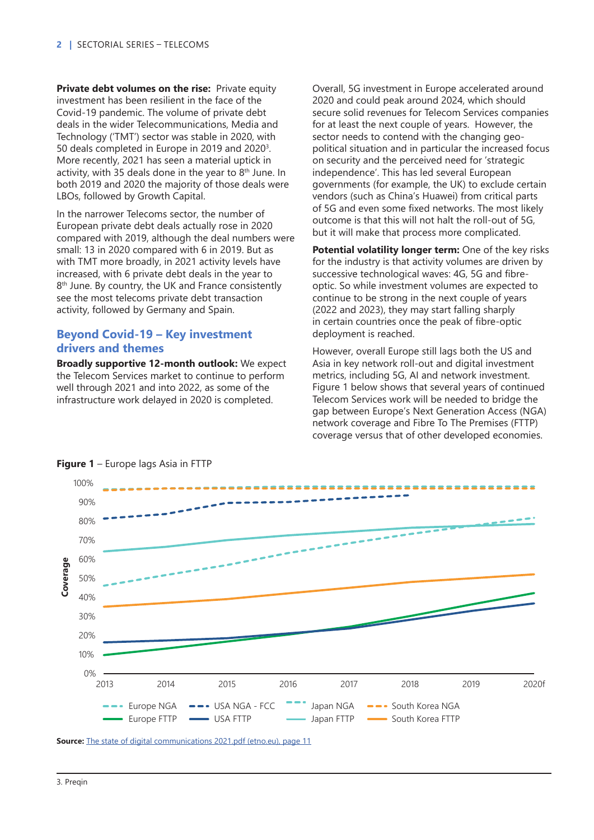**Private debt volumes on the rise: Private equity** investment has been resilient in the face of the Covid-19 pandemic. The volume of private debt deals in the wider Telecommunications, Media and Technology ('TMT') sector was stable in 2020, with 50 deals completed in Europe in 2019 and 2020<sup>3</sup>. More recently, 2021 has seen a material uptick in activity, with 35 deals done in the year to  $8<sup>th</sup>$  June. In both 2019 and 2020 the majority of those deals were LBOs, followed by Growth Capital.

In the narrower Telecoms sector, the number of European private debt deals actually rose in 2020 compared with 2019, although the deal numbers were small: 13 in 2020 compared with 6 in 2019. But as with TMT more broadly, in 2021 activity levels have increased, with 6 private debt deals in the year to 8<sup>th</sup> June. By country, the UK and France consistently see the most telecoms private debt transaction activity, followed by Germany and Spain.

### **Beyond Covid-19 – Key investment drivers and themes**

**Broadly supportive 12-month outlook:** We expect the Telecom Services market to continue to perform well through 2021 and into 2022, as some of the infrastructure work delayed in 2020 is completed.

Overall, 5G investment in Europe accelerated around 2020 and could peak around 2024, which should secure solid revenues for Telecom Services companies for at least the next couple of years. However, the sector needs to contend with the changing geopolitical situation and in particular the increased focus on security and the perceived need for 'strategic independence'. This has led several European governments (for example, the UK) to exclude certain vendors (such as China's Huawei) from critical parts of 5G and even some fixed networks. The most likely outcome is that this will not halt the roll-out of 5G, but it will make that process more complicated.

**Potential volatility longer term:** One of the key risks for the industry is that activity volumes are driven by successive technological waves: 4G, 5G and fibreoptic. So while investment volumes are expected to continue to be strong in the next couple of years (2022 and 2023), they may start falling sharply in certain countries once the peak of fibre-optic deployment is reached.

However, overall Europe still lags both the US and Asia in key network roll-out and digital investment metrics, including 5G, AI and network investment. Figure 1 below shows that several years of continued Telecom Services work will be needed to bridge the gap between Europe's Next Generation Access (NGA) network coverage and Fibre To The Premises (FTTP) coverage versus that of other developed economies.



#### **Figure 1** – Europe lags Asia in FTTP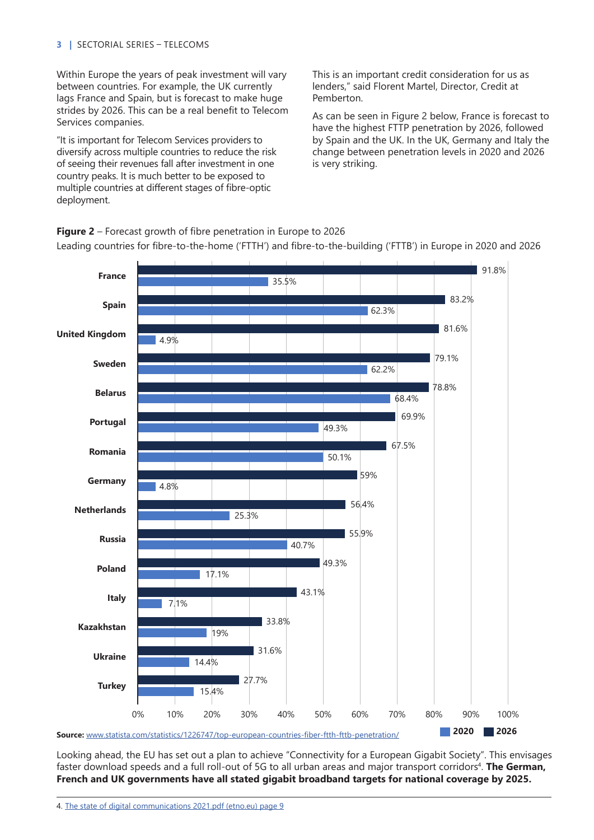Within Europe the years of peak investment will vary between countries. For example, the UK currently lags France and Spain, but is forecast to make huge strides by 2026. This can be a real benefit to Telecom Services companies.

"It is important for Telecom Services providers to diversify across multiple countries to reduce the risk of seeing their revenues fall after investment in one country peaks. It is much better to be exposed to multiple countries at different stages of fibre-optic deployment.

This is an important credit consideration for us as lenders," said Florent Martel, Director, Credit at Pemberton.

As can be seen in Figure 2 below, France is forecast to have the highest FTTP penetration by 2026, followed by Spain and the UK. In the UK, Germany and Italy the change between penetration levels in 2020 and 2026 is very striking.

#### **Figure 2** – Forecast growth of fibre penetration in Europe to 2026

Leading countries for fibre-to-the-home ('FTTH') and fibre-to-the-building ('FTTB') in Europe in 2020 and 2026



**Source:** www.statista.com/statistics/1226747/top-european-countries-fiber-ftth-fttb-penetration/

Looking ahead, the EU has set out a plan to achieve "Connectivity for a European Gigabit Society". This envisages faster download speeds and a full roll-out of 5G to all urban areas and major transport corridors<sup>4</sup>. **The German, French and UK governments have all stated gigabit broadband targets for national coverage by 2025.**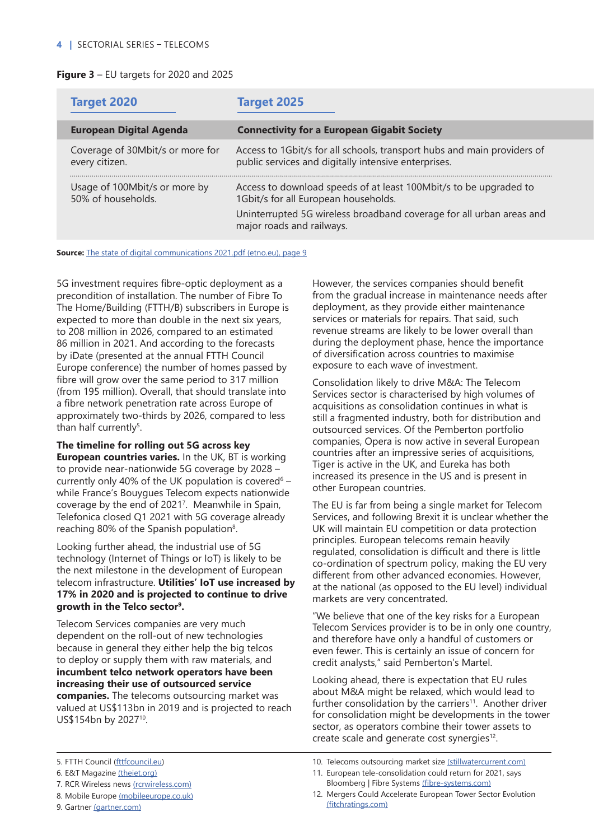#### **Figure 3** – EU targets for 2020 and 2025

| <b>Target 2020</b>                                  | <b>Target 2025</b>                                                                                                                                                                                             |
|-----------------------------------------------------|----------------------------------------------------------------------------------------------------------------------------------------------------------------------------------------------------------------|
| <b>European Digital Agenda</b>                      | <b>Connectivity for a European Gigabit Society</b>                                                                                                                                                             |
| Coverage of 30Mbit/s or more for<br>every citizen.  | Access to 1Gbit/s for all schools, transport hubs and main providers of<br>public services and digitally intensive enterprises.                                                                                |
| Usage of 100Mbit/s or more by<br>50% of households. | Access to download speeds of at least 100Mbit/s to be upgraded to<br>1Gbit/s for all European households.<br>Uninterrupted 5G wireless broadband coverage for all urban areas and<br>major roads and railways. |

**Source:** The state of digital communications 2021.pdf (etno.eu), page 9

5G investment requires fibre-optic deployment as a precondition of installation. The number of Fibre To The Home/Building (FTTH/B) subscribers in Europe is expected to more than double in the next six years, to 208 million in 2026, compared to an estimated 86 million in 2021. And according to the forecasts by iDate (presented at the annual FTTH Council Europe conference) the number of homes passed by fibre will grow over the same period to 317 million (from 195 million). Overall, that should translate into a fibre network penetration rate across Europe of approximately two-thirds by 2026, compared to less than half currently<sup>5</sup>.

**The timeline for rolling out 5G across key European countries varies.** In the UK, BT is working to provide near-nationwide 5G coverage by 2028 – currently only 40% of the UK population is covered<sup>6</sup> – while France's Bouygues Telecom expects nationwide coverage by the end of 20217 . Meanwhile in Spain, Telefonica closed Q1 2021 with 5G coverage already reaching 80% of the Spanish population<sup>8</sup>.

Looking further ahead, the industrial use of 5G technology (Internet of Things or IoT) is likely to be the next milestone in the development of European telecom infrastructure. **Utilities' IoT use increased by 17% in 2020 and is projected to continue to drive growth in the Telco sector9.** 

Telecom Services companies are very much dependent on the roll-out of new technologies because in general they either help the big telcos to deploy or supply them with raw materials, and **incumbent telco network operators have been increasing their use of outsourced service companies.** The telecoms outsourcing market was valued at US\$113bn in 2019 and is projected to reach US\$154bn by 2027<sup>10</sup>.

However, the services companies should benefit from the gradual increase in maintenance needs after deployment, as they provide either maintenance services or materials for repairs. That said, such revenue streams are likely to be lower overall than during the deployment phase, hence the importance of diversification across countries to maximise exposure to each wave of investment.

Consolidation likely to drive M&A: The Telecom Services sector is characterised by high volumes of acquisitions as consolidation continues in what is still a fragmented industry, both for distribution and outsourced services. Of the Pemberton portfolio companies, Opera is now active in several European countries after an impressive series of acquisitions, Tiger is active in the UK, and Eureka has both increased its presence in the US and is present in other European countries.

The EU is far from being a single market for Telecom Services, and following Brexit it is unclear whether the UK will maintain EU competition or data protection principles. European telecoms remain heavily regulated, consolidation is difficult and there is little co-ordination of spectrum policy, making the EU very different from other advanced economies. However, at the national (as opposed to the EU level) individual markets are very concentrated.

"We believe that one of the key risks for a European Telecom Services provider is to be in only one country, and therefore have only a handful of customers or even fewer. This is certainly an issue of concern for credit analysts," said Pemberton's Martel.

Looking ahead, there is expectation that EU rules about M&A might be relaxed, which would lead to further consolidation by the carriers<sup>11</sup>. Another driver for consolidation might be developments in the tower sector, as operators combine their tower assets to create scale and generate cost synergies<sup>12</sup>.

- 5. FTTH Council (fttfcouncil.eu)
- 6. E&T Magazine (theiet.org)
- 7. RCR Wireless news (rcrwireless.com)
- 8. Mobile Europe (mobileeurope.co.uk)
- 9. Gartner (gartner.com)
- 10. Telecoms outsourcing market size (stillwatercurrent.com)
- 11. European tele-consolidation could return for 2021, says Bloomberg | Fibre Systems (fibre-systems.com)
- 12. Mergers Could Accelerate European Tower Sector Evolution (fitchratings.com)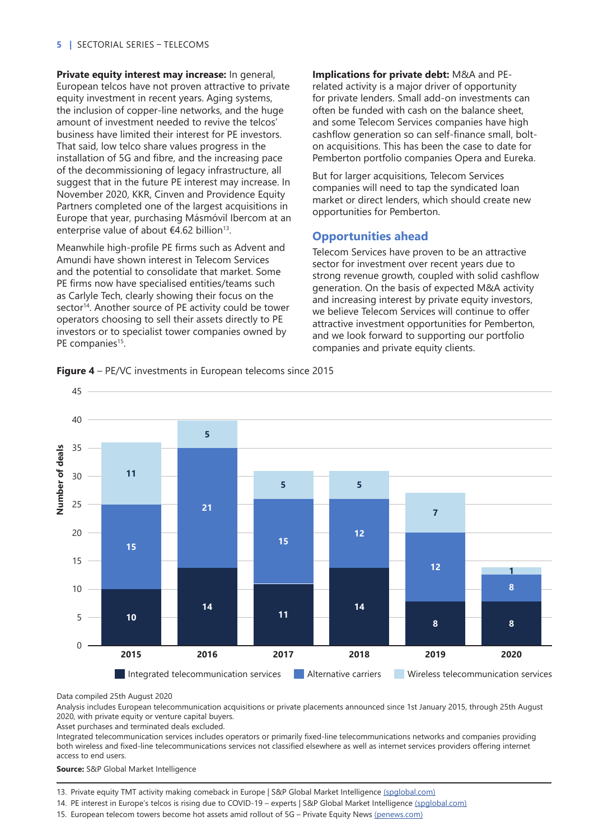**Private equity interest may increase:** In general, European telcos have not proven attractive to private equity investment in recent years. Aging systems, the inclusion of copper-line networks, and the huge amount of investment needed to revive the telcos' business have limited their interest for PE investors. That said, low telco share values progress in the installation of 5G and fibre, and the increasing pace of the decommissioning of legacy infrastructure, all suggest that in the future PE interest may increase. In November 2020, KKR, Cinven and Providence Equity Partners completed one of the largest acquisitions in Europe that year, purchasing Másmóvil Ibercom at an enterprise value of about €4.62 billion<sup>13</sup>.

Meanwhile high-profile PE firms such as Advent and Amundi have shown interest in Telecom Services and the potential to consolidate that market. Some PE firms now have specialised entities/teams such as Carlyle Tech, clearly showing their focus on the sector<sup>14</sup>. Another source of PE activity could be tower operators choosing to sell their assets directly to PE investors or to specialist tower companies owned by PE companies<sup>15</sup>.

**Implications for private debt:** M&A and PErelated activity is a major driver of opportunity for private lenders. Small add-on investments can often be funded with cash on the balance sheet, and some Telecom Services companies have high cashflow generation so can self-finance small, bolton acquisitions. This has been the case to date for Pemberton portfolio companies Opera and Eureka.

But for larger acquisitions, Telecom Services companies will need to tap the syndicated loan market or direct lenders, which should create new opportunities for Pemberton.

### **Opportunities ahead**

Telecom Services have proven to be an attractive sector for investment over recent years due to strong revenue growth, coupled with solid cashflow generation. On the basis of expected M&A activity and increasing interest by private equity investors, we believe Telecom Services will continue to offer attractive investment opportunities for Pemberton, and we look forward to supporting our portfolio companies and private equity clients.



**Figure 4** – PE/VC investments in European telecoms since 2015

Data compiled 25th August 2020

Analysis includes European telecommunication acquisitions or private placements announced since 1st January 2015, through 25th August 2020, with private equity or venture capital buyers.

Asset purchases and terminated deals excluded.

Integrated telecommunication services includes operators or primarily fixed-line telecommunications networks and companies providing both wireless and fixed-line telecommunications services not classified elsewhere as well as internet services providers offering internet

**Source:** S&P Global Market Intelligence

- 14. PE interest in Europe's telcos is rising due to COVID-19 experts | S&P Global Market Intelligence (spglobal.com)
- 15. European telecom towers become hot assets amid rollout of 5G Private Equity News (penews.com)

<sup>13.</sup> Private equity TMT activity making comeback in Europe | S&P Global Market Intelligence (spglobal.com)